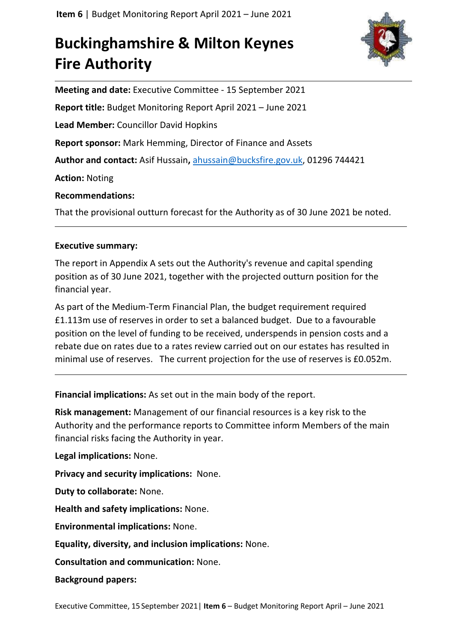# **Buckinghamshire & Milton Keynes Fire Authority**



**Meeting and date:** Executive Committee - 15 September 2021 **Report title:** Budget Monitoring Report April 2021 – June 2021 **Lead Member:** Councillor David Hopkins **Report sponsor:** Mark Hemming, Director of Finance and Assets **Author and contact:** Asif Hussain**,** [ahussain@bucksfire.gov.uk,](mailto:ahussain@bucksfire.gov.uk) 01296 744421 **Action:** Noting **Recommendations:** That the provisional outturn forecast for the Authority as of 30 June 2021 be noted.

## **Executive summary:**

The report in Appendix A sets out the Authority's revenue and capital spending position as of 30 June 2021, together with the projected outturn position for the financial year.

As part of the Medium-Term Financial Plan, the budget requirement required £1.113m use of reserves in order to set a balanced budget. Due to a favourable position on the level of funding to be received, underspends in pension costs and a rebate due on rates due to a rates review carried out on our estates has resulted in minimal use of reserves. The current projection for the use of reserves is £0.052m.

**Financial implications:** As set out in the main body of the report.

**Risk management:** Management of our financial resources is a key risk to the Authority and the performance reports to Committee inform Members of the main financial risks facing the Authority in year.

**Legal implications:** None.

**Privacy and security implications:** None.

**Duty to collaborate:** None.

**Health and safety implications:** None.

**Environmental implications:** None.

**Equality, diversity, and inclusion implications:** None.

**Consultation and communication:** None.

**Background papers:**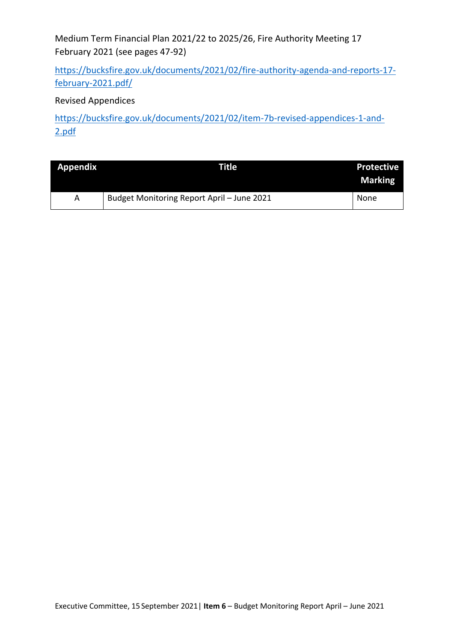Medium Term Financial Plan 2021/22 to 2025/26, Fire Authority Meeting 17 February 2021 (see pages 47-92)

[https://bucksfire.gov.uk/documents/2021/02/fire-authority-agenda-and-reports-17](https://bucksfire.gov.uk/documents/2021/02/fire-authority-agenda-and-reports-17-february-2021.pdf/) [february-2021.pdf/](https://bucksfire.gov.uk/documents/2021/02/fire-authority-agenda-and-reports-17-february-2021.pdf/)

# Revised Appendices

[https://bucksfire.gov.uk/documents/2021/02/item-7b-revised-appendices-1-and-](https://bucksfire.gov.uk/documents/2021/02/item-7b-revised-appendices-1-and-2.pdf)[2.pdf](https://bucksfire.gov.uk/documents/2021/02/item-7b-revised-appendices-1-and-2.pdf)

| <b>Appendix</b> | <b>Title</b>                               | <b>Protective</b><br><b>Marking</b> |
|-----------------|--------------------------------------------|-------------------------------------|
| A               | Budget Monitoring Report April - June 2021 | None                                |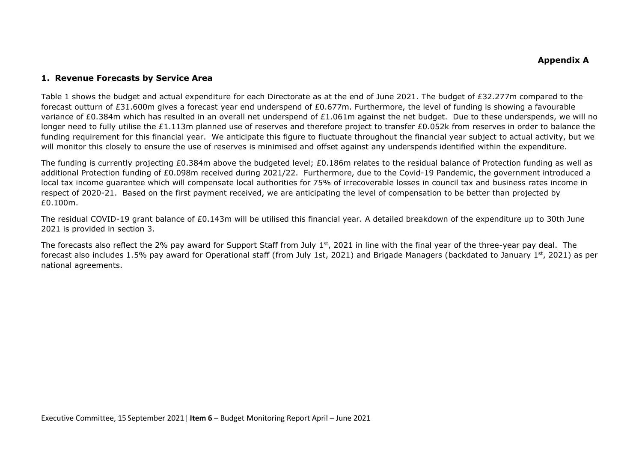#### **1. Revenue Forecasts by Service Area**

Table 1 shows the budget and actual expenditure for each Directorate as at the end of June 2021. The budget of £32.277m compared to the forecast outturn of £31.600m gives a forecast year end underspend of £0.677m. Furthermore, the level of funding is showing a favourable variance of £0.384m which has resulted in an overall net underspend of £1.061m against the net budget. Due to these underspends, we will no longer need to fully utilise the £1.113m planned use of reserves and therefore project to transfer £0.052k from reserves in order to balance the funding requirement for this financial year. We anticipate this figure to fluctuate throughout the financial year subject to actual activity, but we will monitor this closely to ensure the use of reserves is minimised and offset against any underspends identified within the expenditure.

The funding is currently projecting £0.384m above the budgeted level; £0.186m relates to the residual balance of Protection funding as well as additional Protection funding of £0.098m received during 2021/22. Furthermore, due to the Covid-19 Pandemic, the government introduced a local tax income guarantee which will compensate local authorities for 75% of irrecoverable losses in council tax and business rates income in respect of 2020-21. Based on the first payment received, we are anticipating the level of compensation to be better than projected by £0.100m.

The residual COVID-19 grant balance of £0.143m will be utilised this financial year. A detailed breakdown of the expenditure up to 30th June 2021 is provided in section 3.

The forecasts also reflect the 2% pay award for Support Staff from July 1<sup>st</sup>, 2021 in line with the final year of the three-year pay deal. The forecast also includes 1.5% pay award for Operational staff (from July 1st, 2021) and Brigade Managers (backdated to January 1<sup>st</sup>, 2021) as per national agreements.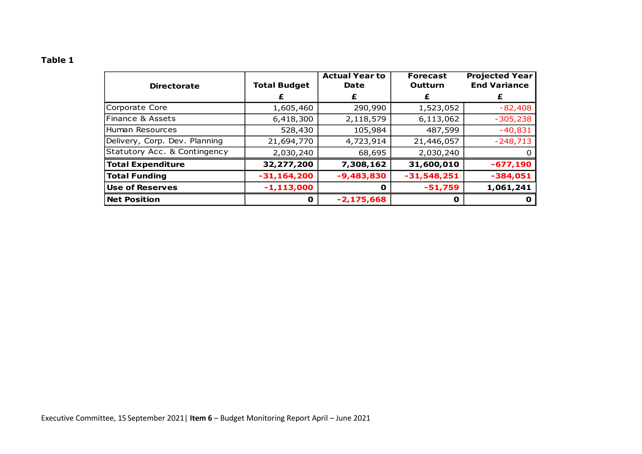## **Table 1**

| <b>Directorate</b>            | <b>Total Budget</b> | <b>Actual Year to</b><br>Date | <b>Forecast</b><br>Outturn | <b>Projected Year</b><br><b>End Variance</b> |
|-------------------------------|---------------------|-------------------------------|----------------------------|----------------------------------------------|
|                               |                     | £                             | £                          | £                                            |
| Corporate Core                | 1,605,460           | 290,990                       | 1,523,052                  | $-82,408$                                    |
| Finance & Assets              | 6,418,300           | 2,118,579                     | 6,113,062                  | $-305,238$                                   |
| Human Resources               | 528,430             | 105,984                       | 487,599                    | $-40,831$                                    |
| Delivery, Corp. Dev. Planning | 21,694,770          | 4,723,914                     | 21,446,057                 | $-248,713$                                   |
| Statutory Acc. & Contingency  | 2,030,240           | 68,695                        | 2,030,240                  | 0                                            |
| <b>Total Expenditure</b>      | 32,277,200          | 7,308,162                     | 31,600,010                 | $-677,190$                                   |
| <b>Total Funding</b>          | $-31, 164, 200$     | $-9,483,830$                  | $-31,548,251$              | $-384,051$                                   |
| <b>Use of Reserves</b>        | $-1, 113, 000$      | O                             | $-51,759$                  | 1,061,241                                    |
| <b>Net Position</b>           | $\mathbf o$         | $-2,175,668$                  | O                          | o                                            |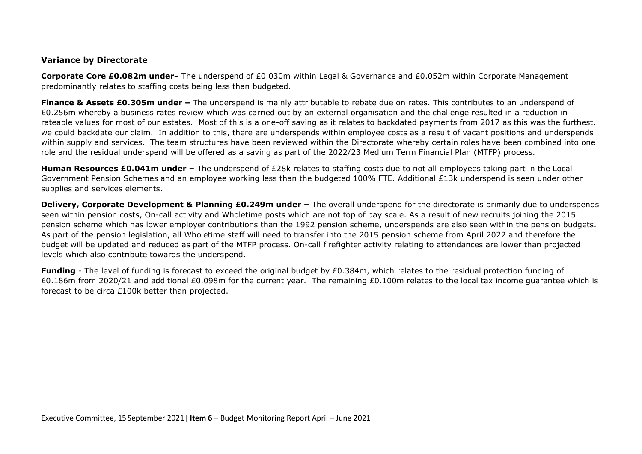#### **Variance by Directorate**

**Corporate Core £0.082m under**– The underspend of £0.030m within Legal & Governance and £0.052m within Corporate Management predominantly relates to staffing costs being less than budgeted.

**Finance & Assets £0.305m under –** The underspend is mainly attributable to rebate due on rates. This contributes to an underspend of £0.256m whereby a business rates review which was carried out by an external organisation and the challenge resulted in a reduction in rateable values for most of our estates. Most of this is a one-off saving as it relates to backdated payments from 2017 as this was the furthest, we could backdate our claim. In addition to this, there are underspends within employee costs as a result of vacant positions and underspends within supply and services. The team structures have been reviewed within the Directorate whereby certain roles have been combined into one role and the residual underspend will be offered as a saving as part of the 2022/23 Medium Term Financial Plan (MTFP) process.

**Human Resources £0.041m under –** The underspend of £28k relates to staffing costs due to not all employees taking part in the Local Government Pension Schemes and an employee working less than the budgeted 100% FTE. Additional £13k underspend is seen under other supplies and services elements.

**Delivery, Corporate Development & Planning £0.249m under –** The overall underspend for the directorate is primarily due to underspends seen within pension costs, On-call activity and Wholetime posts which are not top of pay scale. As a result of new recruits joining the 2015 pension scheme which has lower employer contributions than the 1992 pension scheme, underspends are also seen within the pension budgets. As part of the pension legislation, all Wholetime staff will need to transfer into the 2015 pension scheme from April 2022 and therefore the budget will be updated and reduced as part of the MTFP process. On-call firefighter activity relating to attendances are lower than projected levels which also contribute towards the underspend.

**Funding** - The level of funding is forecast to exceed the original budget by £0.384m, which relates to the residual protection funding of £0.186m from 2020/21 and additional £0.098m for the current year. The remaining £0.100m relates to the local tax income quarantee which is forecast to be circa £100k better than projected.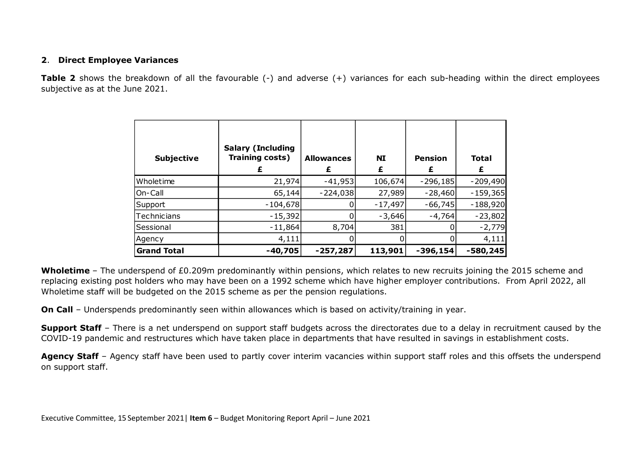#### **2**. **Direct Employee Variances**

**Table 2** shows the breakdown of all the favourable (-) and adverse (+) variances for each sub-heading within the direct employees subjective as at the June 2021.

| <b>Subjective</b>  | <b>Salary (Including</b><br>Training costs) | <b>Allowances</b><br>£ | <b>NI</b> | <b>Pension</b> | <b>Total</b><br>£ |
|--------------------|---------------------------------------------|------------------------|-----------|----------------|-------------------|
| Wholetime          | 21,974                                      | $-41,953$              | 106,674   | $-296,185$     | $-209,490$        |
| On-Call            | 65,144                                      | $-224,038$             | 27,989    | $-28,460$      | $-159,365$        |
| Support            | $-104,678$                                  |                        | $-17,497$ | $-66,745$      | $-188,920$        |
| Technicians        | $-15,392$                                   |                        | $-3,646$  | $-4,764$       | $-23,802$         |
| Sessional          | $-11,864$                                   | 8,704                  | 381       |                | $-2,779$          |
| Agency             | 4,111                                       |                        |           |                | 4,111             |
| <b>Grand Total</b> | $-40,705$                                   | $-257,287$             | 113,901   | $-396,154$     | $-580,245$        |

**Wholetime** – The underspend of £0.209m predominantly within pensions, which relates to new recruits joining the 2015 scheme and replacing existing post holders who may have been on a 1992 scheme which have higher employer contributions. From April 2022, all Wholetime staff will be budgeted on the 2015 scheme as per the pension regulations.

**On Call** – Underspends predominantly seen within allowances which is based on activity/training in year.

**Support Staff** – There is a net underspend on support staff budgets across the directorates due to a delay in recruitment caused by the COVID-19 pandemic and restructures which have taken place in departments that have resulted in savings in establishment costs.

**Agency Staff** – Agency staff have been used to partly cover interim vacancies within support staff roles and this offsets the underspend on support staff.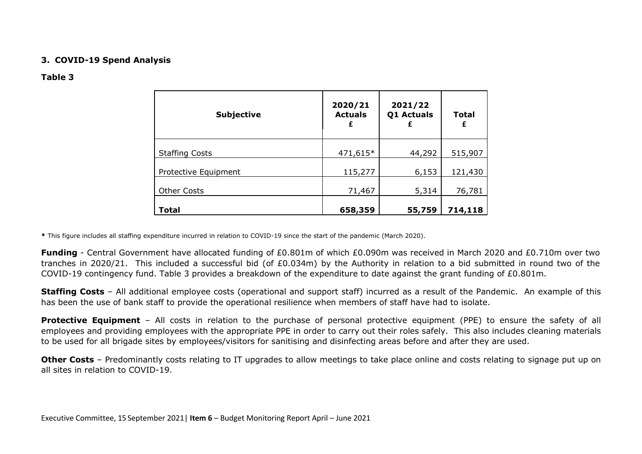#### **3. COVID-19 Spend Analysis**

#### **Table 3**

| <b>Subjective</b>     | 2020/21<br><b>Actuals</b><br>£ | 2021/22<br>Q1 Actuals<br>£ | <b>Total</b><br>£ |
|-----------------------|--------------------------------|----------------------------|-------------------|
| <b>Staffing Costs</b> | 471,615*                       | 44,292                     | 515,907           |
| Protective Equipment  | 115,277                        | 6,153                      | 121,430           |
| <b>Other Costs</b>    | 71,467                         | 5,314                      | 76,781            |
| <b>Total</b>          | 658,359                        | 55,759                     | 714,118           |

**\*** This figure includes all staffing expenditure incurred in relation to COVID-19 since the start of the pandemic (March 2020).

**Funding** - Central Government have allocated funding of £0.801m of which £0.090m was received in March 2020 and £0.710m over two tranches in 2020/21. This included a successful bid (of £0.034m) by the Authority in relation to a bid submitted in round two of the COVID-19 contingency fund. Table 3 provides a breakdown of the expenditure to date against the grant funding of £0.801m.

**Staffing Costs** – All additional employee costs (operational and support staff) incurred as a result of the Pandemic. An example of this has been the use of bank staff to provide the operational resilience when members of staff have had to isolate.

**Protective Equipment** – All costs in relation to the purchase of personal protective equipment (PPE) to ensure the safety of all employees and providing employees with the appropriate PPE in order to carry out their roles safely. This also includes cleaning materials to be used for all brigade sites by employees/visitors for sanitising and disinfecting areas before and after they are used.

**Other Costs** – Predominantly costs relating to IT upgrades to allow meetings to take place online and costs relating to signage put up on all sites in relation to COVID-19.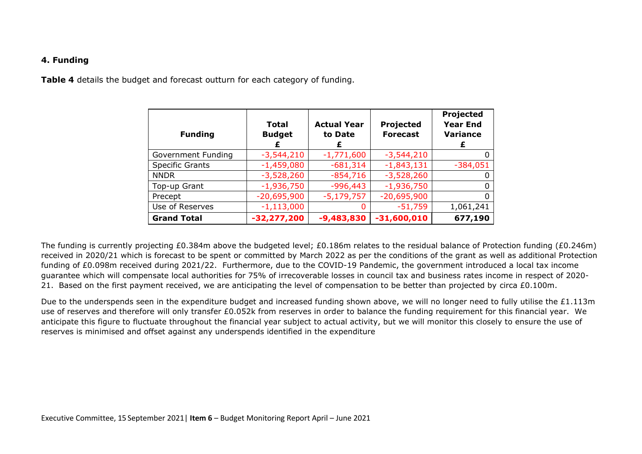#### **4. Funding**

**Table 4** details the budget and forecast outturn for each category of funding.

| <b>Funding</b>         | Total<br><b>Budget</b><br>£ | <b>Actual Year</b><br>to Date | Projected<br><b>Forecast</b> | Projected<br><b>Year End</b><br><b>Variance</b><br>£ |
|------------------------|-----------------------------|-------------------------------|------------------------------|------------------------------------------------------|
| Government Funding     | $-3,544,210$                | $-1,771,600$                  | $-3,544,210$                 |                                                      |
| <b>Specific Grants</b> | $-1,459,080$                | $-681,314$                    | $-1,843,131$                 | $-384,051$                                           |
| <b>NNDR</b>            | $-3,528,260$                | $-854,716$                    | $-3,528,260$                 |                                                      |
| Top-up Grant           | $-1,936,750$                | $-996,443$                    | $-1,936,750$                 |                                                      |
| Precept                | $-20,695,900$               | $-5,179,757$                  | $-20,695,900$                |                                                      |
| Use of Reserves        | $-1,113,000$                | 0                             | $-51,759$                    | 1,061,241                                            |
| <b>Grand Total</b>     | $-32,277,200$               | $-9,483,830$                  | $-31,600,010$                | 677,190                                              |

The funding is currently projecting £0.384m above the budgeted level; £0.186m relates to the residual balance of Protection funding (£0.246m) received in 2020/21 which is forecast to be spent or committed by March 2022 as per the conditions of the grant as well as additional Protection funding of £0.098m received during 2021/22. Furthermore, due to the COVID-19 Pandemic, the government introduced a local tax income guarantee which will compensate local authorities for 75% of irrecoverable losses in council tax and business rates income in respect of 2020- 21. Based on the first payment received, we are anticipating the level of compensation to be better than projected by circa £0.100m.

Due to the underspends seen in the expenditure budget and increased funding shown above, we will no longer need to fully utilise the £1.113m use of reserves and therefore will only transfer £0.052k from reserves in order to balance the funding requirement for this financial year. We anticipate this figure to fluctuate throughout the financial year subject to actual activity, but we will monitor this closely to ensure the use of reserves is minimised and offset against any underspends identified in the expenditure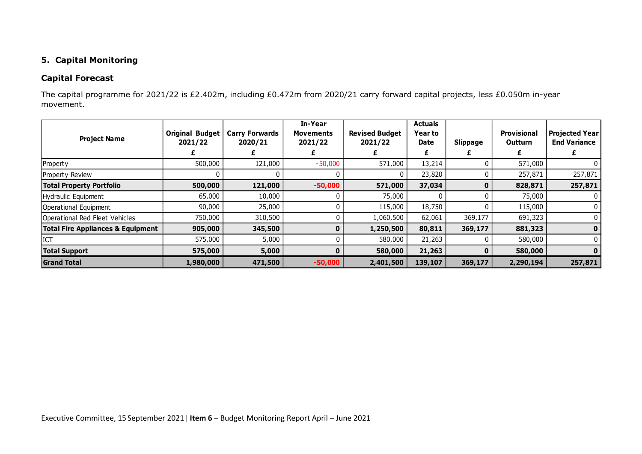## **5. Capital Monitoring**

## **Capital Forecast**

The capital programme for 2021/22 is £2.402m, including £0.472m from 2020/21 carry forward capital projects, less £0.050m in-year movement.

| <b>Project Name</b>                          | <b>Original Budget</b><br>2021/22 | <b>Carry Forwards</b><br>2020/21 | In-Year<br><b>Movements</b><br>2021/22 | <b>Revised Budget</b><br>2021/22 | <b>Actuals</b><br>Year to<br>Date<br>£ | <b>Slippage</b> | <b>Provisional</b><br><b>Outturn</b> | <b>Projected Year</b><br><b>End Variance</b> |
|----------------------------------------------|-----------------------------------|----------------------------------|----------------------------------------|----------------------------------|----------------------------------------|-----------------|--------------------------------------|----------------------------------------------|
| Property                                     | 500,000                           | 121,000                          | $-50,000$                              | 571,000                          | 13,214                                 |                 | 571,000                              |                                              |
| Property Review                              |                                   |                                  |                                        | 0                                | 23,820                                 |                 | 257,871                              | 257,871                                      |
| <b>Total Property Portfolio</b>              | 500,000                           | 121,000                          | $-50,000$                              | 571,000                          | 37,034                                 | 0               | 828,871                              | 257,871                                      |
| Hydraulic Equipment                          | 65,000                            | 10,000                           |                                        | 75,000                           |                                        | U               | 75,000                               |                                              |
| Operational Equipment                        | 90,000                            | 25,000                           |                                        | 115,000                          | 18,750                                 |                 | 115,000                              |                                              |
| Operational Red Fleet Vehicles               | 750,000                           | 310,500                          |                                        | 1,060,500                        | 62,061                                 | 369,177         | 691,323                              |                                              |
| <b>Total Fire Appliances &amp; Equipment</b> | 905,000                           | 345,500                          |                                        | 1,250,500                        | 80,811                                 | 369,177         | 881,323                              | $\mathbf 0$                                  |
| ICT                                          | 575,000                           | 5,000                            |                                        | 580,000                          | 21,263                                 |                 | 580,000                              |                                              |
| <b>Total Support</b>                         | 575,000                           | 5,000                            |                                        | 580,000                          | 21,263                                 |                 | 580,000                              | $\mathbf{0}$                                 |
| <b>Grand Total</b>                           | 1,980,000                         | 471,500                          | $-50,000$                              | 2,401,500                        | 139,107                                | 369,177         | 2,290,194                            | 257,871                                      |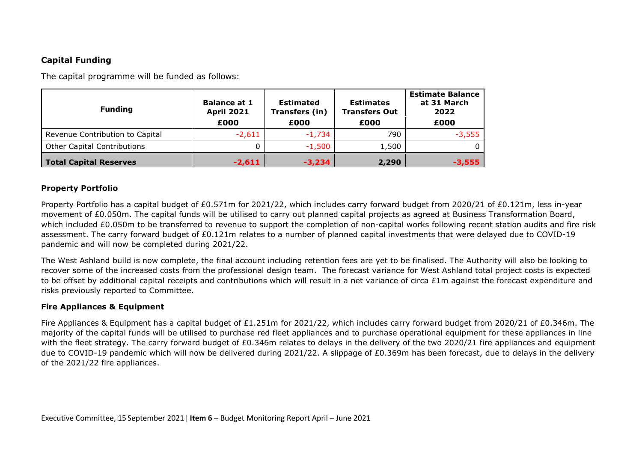## **Capital Funding**

The capital programme will be funded as follows:

| <b>Funding</b>                     | <b>Balance at 1</b><br><b>April 2021</b><br>£000 | <b>Estimated</b><br>Transfers (in)<br>£000 | <b>Estimates</b><br><b>Transfers Out</b><br>£000 | <b>Estimate Balance</b><br>at 31 March<br>2022<br>£000 |  |
|------------------------------------|--------------------------------------------------|--------------------------------------------|--------------------------------------------------|--------------------------------------------------------|--|
| Revenue Contribution to Capital    | $-2,611$                                         | $-1,734$                                   | 790                                              | $-3,555$                                               |  |
| <b>Other Capital Contributions</b> |                                                  | $-1,500$                                   | 1,500                                            |                                                        |  |
| <b>Total Capital Reserves</b>      | $-2,611$                                         | $-3,234$                                   | 2,290                                            | $-3,555$                                               |  |

#### **Property Portfolio**

Property Portfolio has a capital budget of £0.571m for 2021/22, which includes carry forward budget from 2020/21 of £0.121m, less in-year movement of £0.050m. The capital funds will be utilised to carry out planned capital projects as agreed at Business Transformation Board, which included £0.050m to be transferred to revenue to support the completion of non-capital works following recent station audits and fire risk assessment. The carry forward budget of £0.121m relates to a number of planned capital investments that were delayed due to COVID-19 pandemic and will now be completed during 2021/22.

The West Ashland build is now complete, the final account including retention fees are yet to be finalised. The Authority will also be looking to recover some of the increased costs from the professional design team. The forecast variance for West Ashland total project costs is expected to be offset by additional capital receipts and contributions which will result in a net variance of circa £1m against the forecast expenditure and risks previously reported to Committee.

#### **Fire Appliances & Equipment**

Fire Appliances & Equipment has a capital budget of £1.251m for 2021/22, which includes carry forward budget from 2020/21 of £0.346m. The majority of the capital funds will be utilised to purchase red fleet appliances and to purchase operational equipment for these appliances in line with the fleet strategy. The carry forward budget of £0.346m relates to delays in the delivery of the two 2020/21 fire appliances and equipment due to COVID-19 pandemic which will now be delivered during 2021/22. A slippage of £0.369m has been forecast, due to delays in the delivery of the 2021/22 fire appliances.